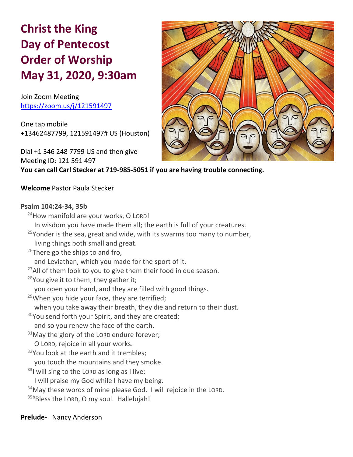# **Christ the King Day of Pentecost Order of Worship May 31, 2020, 9:30am**

Join Zoom Meeting https://zoom.us/j/121591497

One tap mobile +13462487799, 121591497# US (Houston)

Dial +1 346 248 7799 US and then give Meeting ID: 121 591 497 **You can call Carl Stecker at 719-985-5051 if you are having trouble connecting.**



# **Welcome** Pastor Paula Stecker

#### **Psalm 104:24-34, 35b**

 $24$ How manifold are your works, O LORD! In wisdom you have made them all; the earth is full of your creatures. **<sup>25</sup>**Yonder is the sea, great and wide, with its swarms too many to number, living things both small and great. <sup>26</sup>There go the ships to and fro, and Leviathan, which you made for the sport of it. **<sup>27</sup>**All of them look to you to give them their food in due season. <sup>28</sup>You give it to them; they gather it; you open your hand, and they are filled with good things. **<sup>29</sup>**When you hide your face, they are terrified; when you take away their breath, they die and return to their dust.  $30$ You send forth your Spirit, and they are created; and so you renew the face of the earth. **<sup>31</sup>**May the glory of the LORD endure forever; O LORD, rejoice in all your works.  $32$ You look at the earth and it trembles: you touch the mountains and they smoke. **<sup>33</sup>**I will sing to the LORD as long as I live; I will praise my God while I have my being.  $34$ May these words of mine please God. I will rejoice in the LORD. <sup>35b</sup>Bless the LORD, O my soul. Hallelujah!

#### **Prelude-** Nancy Anderson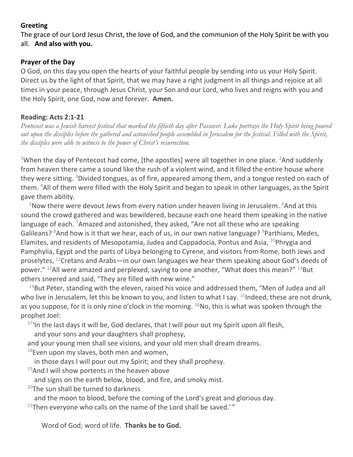# **Greeting**

The grace of our Lord Jesus Christ, the love of God, and the communion of the Holy Spirit be with you all. **And also with you.**

# **Prayer of the Day**

O God, on this day you open the hearts of your faithful people by sending into us your Holy Spirit. Direct us by the light of that Spirit, that we may have a right judgment in all things and rejoice at all times in your peace, through Jesus Christ, your Son and our Lord, who lives and reigns with you and the Holy Spirit, one God, now and forever. **Amen.**

# **Reading: Acts 2:1-21**

*Pentecost was a Jewish harvest festival that marked the fiftieth day after Passover. Luke portrays the Holy Spirit being poured out upon the disciples before the gathered and astonished people assembled in Jerusalem for the festival. Filled with the Spirit, the disciples were able to witness to the power of Christ's resurrection.*

<sup>1</sup>When the day of Pentecost had come, [the apostles] were all together in one place. <sup>2</sup>And suddenly from heaven there came a sound like the rush of a violent wind, and it filled the entire house where they were sitting. <sup>3</sup>Divided tongues, as of fire, appeared among them, and a tongue rested on each of them. <sup>4</sup>All of them were filled with the Holy Spirit and began to speak in other languages, as the Spirit gave them ability.

 $5$ Now there were devout Jews from every nation under heaven living in Jerusalem.  $6$ And at this sound the crowd gathered and was bewildered, because each one heard them speaking in the native language of each. <sup>7</sup>Amazed and astonished, they asked, "Are not all these who are speaking Galileans? <sup>8</sup>And how is it that we hear, each of us, in our own native language? <sup>9</sup>Parthians, Medes, Elamites, and residents of Mesopotamia, Judea and Cappadocia, Pontus and Asia,  $^{10}$ Phrygia and Pamphylia, Egypt and the parts of Libya belonging to Cyrene, and visitors from Rome, both Jews and proselytes,  $^{11}$ Cretans and Arabs—in our own languages we hear them speaking about God's deeds of power."  $^{12}$ All were amazed and perplexed, saying to one another, "What does this mean?"  $^{13}$ But others sneered and said, "They are filled with new wine."

 $14$ But Peter, standing with the eleven, raised his voice and addressed them, "Men of Judea and all who live in Jerusalem, let this be known to you, and listen to what I say. <sup>15</sup>Indeed, these are not drunk, as you suppose, for it is only nine o'clock in the morning.  $^{16}$ No, this is what was spoken through the prophet Joel:

 $17'$ In the last days it will be, God declares, that I will pour out my Spirit upon all flesh,

and your sons and your daughters shall prophesy,

and your young men shall see visions, and your old men shall dream dreams.

 $18$ Even upon my slaves, both men and women,

in those days I will pour out my Spirit; and they shall prophesy.

 $19$ And I will show portents in the heaven above

and signs on the earth below, blood, and fire, and smoky mist.

 $20$ The sun shall be turned to darkness

and the moon to blood, before the coming of the Lord's great and glorious day.

 $21$ Then everyone who calls on the name of the Lord shall be saved.'"

Word of God; word of life. **Thanks be to God.**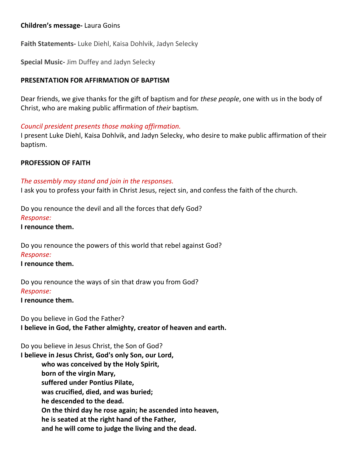# **Children's message-** Laura Goins

**Faith Statements-** Luke Diehl, Kaisa Dohlvik, Jadyn Selecky

**Special Music-** Jim Duffey and Jadyn Selecky

#### **PRESENTATION FOR AFFIRMATION OF BAPTISM**

Dear friends, we give thanks for the gift of baptism and for *these people*, one with us in the body of Christ, who are making public affirmation of *their* baptism.

#### *Council president presents those making affirmation.*

I present Luke Diehl, Kaisa Dohlvik, and Jadyn Selecky, who desire to make public affirmation of their baptism.

#### **PROFESSION OF FAITH**

#### *The assembly may stand and join in the responses.*

I ask you to profess your faith in Christ Jesus, reject sin, and confess the faith of the church.

Do you renounce the devil and all the forces that defy God? *Response:*

**I renounce them.**

Do you renounce the powers of this world that rebel against God?

#### *Response:*

**I renounce them.**

Do you renounce the ways of sin that draw you from God? *Response:*

**I renounce them.**

Do you believe in God the Father? **I believe in God, the Father almighty, creator of heaven and earth.**

Do you believe in Jesus Christ, the Son of God?

**I believe in Jesus Christ, God's only Son, our Lord, who was conceived by the Holy Spirit, born of the virgin Mary, suffered under Pontius Pilate, was crucified, died, and was buried; he descended to the dead. On the third day he rose again; he ascended into heaven, he is seated at the right hand of the Father, and he will come to judge the living and the dead.**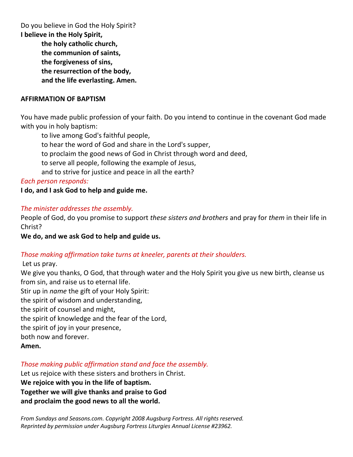Do you believe in God the Holy Spirit?

**I believe in the Holy Spirit,**

**the holy catholic church, the communion of saints, the forgiveness of sins, the resurrection of the body, and the life everlasting. Amen.**

# **AFFIRMATION OF BAPTISM**

You have made public profession of your faith. Do you intend to continue in the covenant God made with you in holy baptism:

to live among God's faithful people,

to hear the word of God and share in the Lord's supper,

to proclaim the good news of God in Christ through word and deed,

to serve all people, following the example of Jesus,

and to strive for justice and peace in all the earth?

*Each person responds:*

**I do, and I ask God to help and guide me.**

# *The minister addresses the assembly.*

People of God, do you promise to support *these sisters and brothers* and pray for *them* in their life in Christ?

**We do, and we ask God to help and guide us.**

# *Those making affirmation take turns at kneeler, parents at their shoulders.*

Let us pray. We give you thanks, O God, that through water and the Holy Spirit you give us new birth, cleanse us from sin, and raise us to eternal life. Stir up in *name* the gift of your Holy Spirit: the spirit of wisdom and understanding, the spirit of counsel and might, the spirit of knowledge and the fear of the Lord, the spirit of joy in your presence, both now and forever.

**Amen.**

# *Those making public affirmation stand and face the assembly.*

Let us rejoice with these sisters and brothers in Christ. **We rejoice with you in the life of baptism. Together we will give thanks and praise to God and proclaim the good news to all the world.**

*From Sundays and Seasons.com. Copyright 2008 Augsburg Fortress. All rights reserved. Reprinted by permission under Augsburg Fortress Liturgies Annual License #23962.*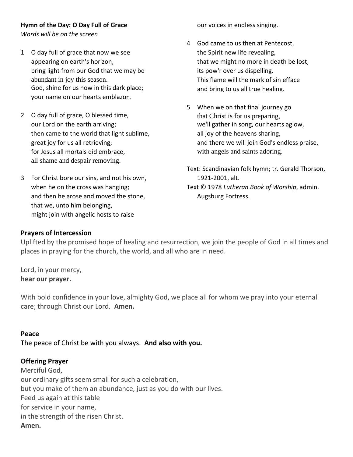# **Hymn of the Day: O Day Full of Grace**

*Words will be on the screen*

- 1 O day full of grace that now we see appearing on earth's horizon, bring light from our God that we may be abundant in joy this season. God, shine for us now in this dark place; your name on our hearts emblazon.
- 2 O day full of grace, O blessed time, our Lord on the earth arriving; then came to the world that light sublime, great joy for us all retrieving; for Jesus all mortals did embrace, all shame and despair removing.
- 3 For Christ bore our sins, and not his own, when he on the cross was hanging; and then he arose and moved the stone, that we, unto him belonging, might join with angelic hosts to raise

our voices in endless singing.

- 4 God came to us then at Pentecost, the Spirit new life revealing, that we might no more in death be lost, its pow'r over us dispelling. This flame will the mark of sin efface and bring to us all true healing.
- 5 When we on that final journey go that Christ is for us preparing, we'll gather in song, our hearts aglow, all joy of the heavens sharing, and there we will join God's endless praise, with angels and saints adoring.
- Text: Scandinavian folk hymn; tr. Gerald Thorson, 1921-2001, alt. Text © 1978 *Lutheran Book of Worship*, admin. Augsburg Fortress.

#### **Prayers of Intercession**

Uplifted by the promised hope of healing and resurrection, we join the people of God in all times and places in praying for the church, the world, and all who are in need.

Lord, in your mercy, **hear our prayer.**

With bold confidence in your love, almighty God, we place all for whom we pray into your eternal care; through Christ our Lord. **Amen.**

#### **Peace**

The peace of Christ be with you always. **And also with you.**

# **Offering Prayer**

Merciful God, our ordinary gifts seem small for such a celebration, but you make of them an abundance, just as you do with our lives. Feed us again at this table for service in your name, in the strength of the risen Christ. **Amen.**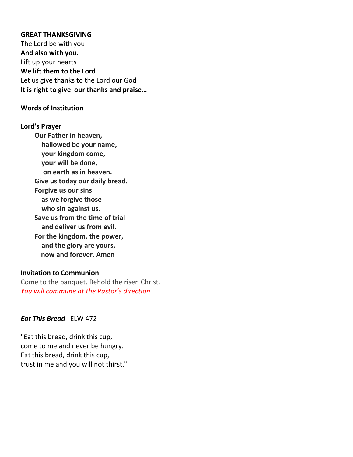#### **GREAT THANKSGIVING**

The Lord be with you **And also with you.** Lift up your hearts **We lift them to the Lord** Let us give thanks to the Lord our God **It is right to give our thanks and praise…** 

#### **Words of Institution**

**Lord's Prayer Our Father in heaven, hallowed be your name, your kingdom come, your will be done, on earth as in heaven. Give us today our daily bread. Forgive us our sins as we forgive those who sin against us. Save us from the time of trial and deliver us from evil. For the kingdom, the power, and the glory are yours, now and forever. Amen**

#### **Invitation to Communion**

Come to the banquet. Behold the risen Christ. *You will commune at the Pastor's direction*

#### *Eat This Bread* ELW 472

"Eat this bread, drink this cup, come to me and never be hungry. Eat this bread, drink this cup, trust in me and you will not thirst."